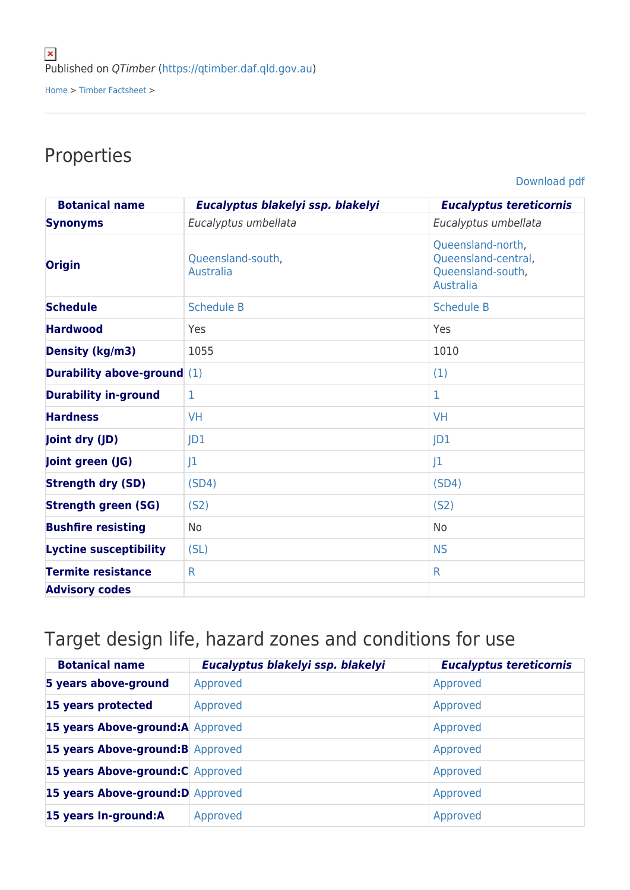## Properties

[Download pdf](https://qtimber.daf.qld.gov.au/printpdf/timber-factsheet/gum, red, forest)

| <b>Botanical name</b>              | Eucalyptus blakelyi ssp. blakelyi | <b>Eucalyptus tereticornis</b>                                             |
|------------------------------------|-----------------------------------|----------------------------------------------------------------------------|
| <b>Synonyms</b>                    | Eucalyptus umbellata              | Eucalyptus umbellata                                                       |
| <b>Origin</b>                      | Queensland-south,<br>Australia    | Queensland-north,<br>Queensland-central,<br>Queensland-south,<br>Australia |
| <b>Schedule</b>                    | <b>Schedule B</b>                 | <b>Schedule B</b>                                                          |
| <b>Hardwood</b>                    | Yes                               | Yes                                                                        |
| <b>Density (kg/m3)</b>             | 1055                              | 1010                                                                       |
| <b>Durability above-ground</b> (1) |                                   | (1)                                                                        |
| <b>Durability in-ground</b>        | 1                                 | 1                                                                          |
| <b>Hardness</b>                    | <b>VH</b>                         | <b>VH</b>                                                                  |
| Joint dry (JD)                     | JD1                               | JD <sub>1</sub>                                                            |
| Joint green (JG)                   | 1                                 | J <sub>1</sub>                                                             |
| <b>Strength dry (SD)</b>           | (SD4)                             | (SD4)                                                                      |
| <b>Strength green (SG)</b>         | (S <sub>2</sub> )                 | (S <sub>2</sub> )                                                          |
| <b>Bushfire resisting</b>          | <b>No</b>                         | <b>No</b>                                                                  |
| <b>Lyctine susceptibility</b>      | (SL)                              | <b>NS</b>                                                                  |
| <b>Termite resistance</b>          | $\mathsf{R}$                      | $\mathsf{R}$                                                               |
| <b>Advisory codes</b>              |                                   |                                                                            |

## Target design life, hazard zones and conditions for use

| <b>Botanical name</b>             | Eucalyptus blakelyi ssp. blakelyi | <b>Eucalyptus tereticornis</b> |
|-----------------------------------|-----------------------------------|--------------------------------|
| 5 years above-ground              | Approved                          | Approved                       |
| 15 years protected                | Approved                          | Approved                       |
| 15 years Above-ground:A Approved  |                                   | Approved                       |
| 15 years Above-ground: B Approved |                                   | Approved                       |
| 15 years Above-ground: C Approved |                                   | Approved                       |
| 15 years Above-ground: D Approved |                                   | Approved                       |
| 15 years In-ground:A              | Approved                          | Approved                       |